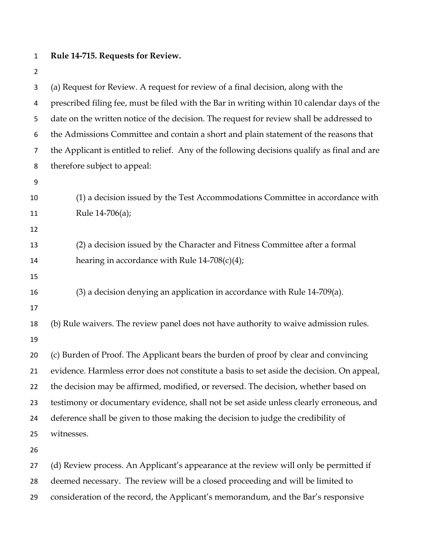## **Rule 14-715. Requests for Review.**

 (a) Request for Review. A request for review of a final decision, along with the prescribed filing fee, must be filed with the Bar in writing within 10 calendar days of the date on the written notice of the decision. The request for review shall be addressed to the Admissions Committee and contain a short and plain statement of the reasons that the Applicant is entitled to relief. Any of the following decisions qualify as final and are therefore subject to appeal: (1) a decision issued by the Test Accommodations Committee in accordance with 11 Rule 14-706(a); (2) a decision issued by the Character and Fitness Committee after a formal 14 hearing in accordance with Rule  $14-708(c)(4)$ ; (3) a decision denying an application in accordance with Rule 14-709(a). (b) Rule waivers. The review panel does not have authority to waive admission rules. (c) Burden of Proof. The Applicant bears the burden of proof by clear and convincing evidence. Harmless error does not constitute a basis to set aside the decision. On appeal, the decision may be affirmed, modified, or reversed. The decision, whether based on testimony or documentary evidence, shall not be set aside unless clearly erroneous, and deference shall be given to those making the decision to judge the credibility of witnesses. (d) Review process. An Applicant's appearance at the review will only be permitted if deemed necessary. The review will be a closed proceeding and will be limited to consideration of the record, the Applicant's memorandum, and the Bar's responsive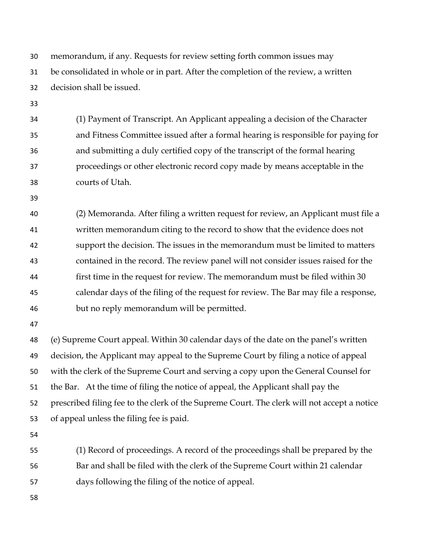memorandum, if any. Requests for review setting forth common issues may be consolidated in whole or in part. After the completion of the review, a written decision shall be issued.

 (1) Payment of Transcript. An Applicant appealing a decision of the Character and Fitness Committee issued after a formal hearing is responsible for paying for and submitting a duly certified copy of the transcript of the formal hearing proceedings or other electronic record copy made by means acceptable in the courts of Utah.

 (2) Memoranda. After filing a written request for review, an Applicant must file a written memorandum citing to the record to show that the evidence does not support the decision. The issues in the memorandum must be limited to matters contained in the record. The review panel will not consider issues raised for the first time in the request for review. The memorandum must be filed within 30 calendar days of the filing of the request for review. The Bar may file a response, but no reply memorandum will be permitted.

 (e) Supreme Court appeal. Within 30 calendar days of the date on the panel's written decision, the Applicant may appeal to the Supreme Court by filing a notice of appeal with the clerk of the Supreme Court and serving a copy upon the General Counsel for the Bar. At the time of filing the notice of appeal, the Applicant shall pay the prescribed filing fee to the clerk of the Supreme Court. The clerk will not accept a notice of appeal unless the filing fee is paid.

 (1) Record of proceedings. A record of the proceedings shall be prepared by the Bar and shall be filed with the clerk of the Supreme Court within 21 calendar days following the filing of the notice of appeal.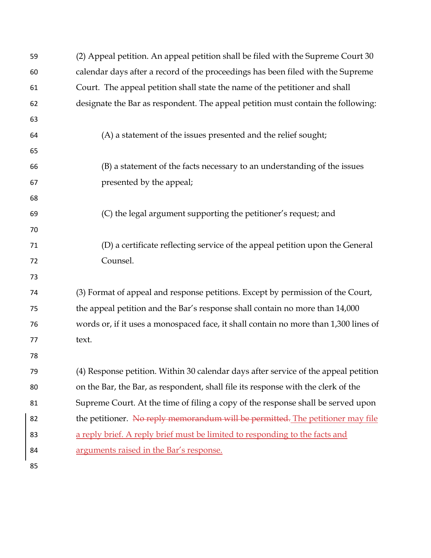| 59 | (2) Appeal petition. An appeal petition shall be filed with the Supreme Court 30     |
|----|--------------------------------------------------------------------------------------|
| 60 | calendar days after a record of the proceedings has been filed with the Supreme      |
| 61 | Court. The appeal petition shall state the name of the petitioner and shall          |
| 62 | designate the Bar as respondent. The appeal petition must contain the following:     |
| 63 |                                                                                      |
| 64 | (A) a statement of the issues presented and the relief sought;                       |
| 65 |                                                                                      |
| 66 | (B) a statement of the facts necessary to an understanding of the issues             |
| 67 | presented by the appeal;                                                             |
| 68 |                                                                                      |
| 69 | (C) the legal argument supporting the petitioner's request; and                      |
| 70 |                                                                                      |
| 71 | (D) a certificate reflecting service of the appeal petition upon the General         |
| 72 | Counsel.                                                                             |
| 73 |                                                                                      |
| 74 | (3) Format of appeal and response petitions. Except by permission of the Court,      |
| 75 | the appeal petition and the Bar's response shall contain no more than 14,000         |
| 76 | words or, if it uses a monospaced face, it shall contain no more than 1,300 lines of |
| 77 | text.                                                                                |
| 78 |                                                                                      |
| 79 | (4) Response petition. Within 30 calendar days after service of the appeal petition  |
| 80 | on the Bar, the Bar, as respondent, shall file its response with the clerk of the    |
| 81 | Supreme Court. At the time of filing a copy of the response shall be served upon     |
| 82 | the petitioner. No reply memorandum will be permitted. The petitioner may file       |
| 83 | a reply brief. A reply brief must be limited to responding to the facts and          |
| 84 | arguments raised in the Bar's response.                                              |
| 85 |                                                                                      |